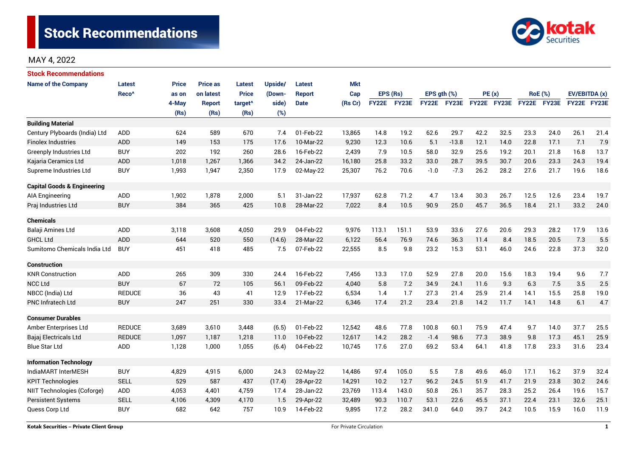

# MAY 4, 2022

| <b>Stock Recommendations</b>           |                   |              |                 |                     |         |               |            |              |       |                  |             |             |      |                |             |               |      |
|----------------------------------------|-------------------|--------------|-----------------|---------------------|---------|---------------|------------|--------------|-------|------------------|-------------|-------------|------|----------------|-------------|---------------|------|
| <b>Name of the Company</b>             | <b>Latest</b>     | <b>Price</b> | <b>Price as</b> | <b>Latest</b>       | Upside/ | <b>Latest</b> | <b>Mkt</b> |              |       |                  |             |             |      |                |             |               |      |
|                                        | Reco <sup>^</sup> | as on        | on latest       | <b>Price</b>        | (Down-  | <b>Report</b> | Cap        | EPS (Rs)     |       | EPS $qth$ $(\%)$ |             | PE(x)       |      | <b>RoE</b> (%) |             | EV/EBITDA (x) |      |
|                                        |                   | 4-May        | <b>Report</b>   | target <sup>^</sup> | side)   | <b>Date</b>   | (Rs Cr)    | <b>FY22E</b> | FY23E |                  | FY22E FY23E | FY22E FY23E |      |                | FY22E FY23E | FY22E FY23E   |      |
|                                        |                   | (Rs)         | (Rs)            | (Rs)                | (%)     |               |            |              |       |                  |             |             |      |                |             |               |      |
| <b>Building Material</b>               |                   |              |                 |                     |         |               |            |              |       |                  |             |             |      |                |             |               |      |
| Century Plyboards (India) Ltd          | <b>ADD</b>        | 624          | 589             | 670                 | 7.4     | 01-Feb-22     | 13,865     | 14.8         | 19.2  | 62.6             | 29.7        | 42.2        | 32.5 | 23.3           | 24.0        | 26.1          | 21.4 |
| <b>Finolex Industries</b>              | <b>ADD</b>        | 149          | 153             | 175                 | 17.6    | 10-Mar-22     | 9,230      | 12.3         | 10.6  | 5.1              | $-13.8$     | 12.1        | 14.0 | 22.8           | 17.1        | 7.1           | 7.9  |
| <b>Greenply Industries Ltd</b>         | <b>BUY</b>        | 202          | 192             | 260                 | 28.6    | 16-Feb-22     | 2,439      | 7.9          | 10.5  | 58.0             | 32.9        | 25.6        | 19.2 | 20.1           | 21.8        | 16.8          | 13.7 |
| Kajaria Ceramics Ltd                   | <b>ADD</b>        | 1,018        | 1,267           | 1,366               | 34.2    | 24-Jan-22     | 16,180     | 25.8         | 33.2  | 33.0             | 28.7        | 39.5        | 30.7 | 20.6           | 23.3        | 24.3          | 19.4 |
| Supreme Industries Ltd                 | <b>BUY</b>        | 1,993        | 1,947           | 2,350               | 17.9    | 02-May-22     | 25,307     | 76.2         | 70.6  | $-1.0$           | $-7.3$      | 26.2        | 28.2 | 27.6           | 21.7        | 19.6          | 18.6 |
| <b>Capital Goods &amp; Engineering</b> |                   |              |                 |                     |         |               |            |              |       |                  |             |             |      |                |             |               |      |
| <b>AIA Engineering</b>                 | <b>ADD</b>        | 1,902        | 1,878           | 2,000               | 5.1     | 31-Jan-22     | 17,937     | 62.8         | 71.2  | 4.7              | 13.4        | 30.3        | 26.7 | 12.5           | 12.6        | 23.4          | 19.7 |
| Praj Industries Ltd                    | <b>BUY</b>        | 384          | 365             | 425                 | 10.8    | 28-Mar-22     | 7,022      | 8.4          | 10.5  | 90.9             | 25.0        | 45.7        | 36.5 | 18.4           | 21.1        | 33.2          | 24.0 |
| <b>Chemicals</b>                       |                   |              |                 |                     |         |               |            |              |       |                  |             |             |      |                |             |               |      |
| Balaji Amines Ltd                      | <b>ADD</b>        | 3,118        | 3,608           | 4,050               | 29.9    | 04-Feb-22     | 9,976      | 113.1        | 151.1 | 53.9             | 33.6        | 27.6        | 20.6 | 29.3           | 28.2        | 17.9          | 13.6 |
| <b>GHCL Ltd</b>                        | <b>ADD</b>        | 644          | 520             | 550                 | (14.6)  | 28-Mar-22     | 6,122      | 56.4         | 76.9  | 74.6             | 36.3        | 11.4        | 8.4  | 18.5           | 20.5        | 7.3           | 5.5  |
| Sumitomo Chemicals India Ltd           | <b>BUY</b>        | 451          | 418             | 485                 | 7.5     | 07-Feb-22     | 22,555     | 8.5          | 9.8   | 23.2             | 15.3        | 53.1        | 46.0 | 24.6           | 22.8        | 37.3          | 32.0 |
| <b>Construction</b>                    |                   |              |                 |                     |         |               |            |              |       |                  |             |             |      |                |             |               |      |
| <b>KNR Construction</b>                | <b>ADD</b>        | 265          | 309             | 330                 | 24.4    | 16-Feb-22     | 7,456      | 13.3         | 17.0  | 52.9             | 27.8        | 20.0        | 15.6 | 18.3           | 19.4        | 9.6           | 7.7  |
| <b>NCC Ltd</b>                         | <b>BUY</b>        | 67           | 72              | 105                 | 56.1    | 09-Feb-22     | 4,040      | 5.8          | 7.2   | 34.9             | 24.1        | 11.6        | 9.3  | 6.3            | 7.5         | 3.5           | 2.5  |
| NBCC (India) Ltd                       | <b>REDUCE</b>     | 36           | 43              | 41                  | 12.9    | 17-Feb-22     | 6,534      | 1.4          | 1.7   | 27.3             | 21.4        | 25.9        | 21.4 | 14.1           | 15.5        | 25.8          | 19.0 |
| <b>PNC Infratech Ltd</b>               | <b>BUY</b>        | 247          | 251             | 330                 | 33.4    | 21-Mar-22     | 6,346      | 17.4         | 21.2  | 23.4             | 21.8        | 14.2        | 11.7 | 14.1           | 14.8        | 6.1           | 4.7  |
| <b>Consumer Durables</b>               |                   |              |                 |                     |         |               |            |              |       |                  |             |             |      |                |             |               |      |
| Amber Enterprises Ltd                  | <b>REDUCE</b>     | 3,689        | 3,610           | 3,448               | (6.5)   | 01-Feb-22     | 12,542     | 48.6         | 77.8  | 100.8            | 60.1        | 75.9        | 47.4 | 9.7            | 14.0        | 37.7          | 25.5 |
| Bajaj Electricals Ltd                  | <b>REDUCE</b>     | 1,097        | 1,187           | 1,218               | 11.0    | 10-Feb-22     | 12,617     | 14.2         | 28.2  | $-1.4$           | 98.6        | 77.3        | 38.9 | 9.8            | 17.3        | 45.1          | 25.9 |
| <b>Blue Star Ltd</b>                   | ADD               | 1,128        | 1,000           | 1,055               | (6.4)   | 04-Feb-22     | 10,745     | 17.6         | 27.0  | 69.2             | 53.4        | 64.1        | 41.8 | 17.8           | 23.3        | 31.6          | 23.4 |
| <b>Information Technology</b>          |                   |              |                 |                     |         |               |            |              |       |                  |             |             |      |                |             |               |      |
| IndiaMART InterMESH                    | <b>BUY</b>        | 4,829        | 4,915           | 6,000               | 24.3    | 02-May-22     | 14,486     | 97.4         | 105.0 | 5.5              | 7.8         | 49.6        | 46.0 | 17.1           | 16.2        | 37.9          | 32.4 |
| <b>KPIT Technologies</b>               | <b>SELL</b>       | 529          | 587             | 437                 | (17.4)  | 28-Apr-22     | 14,291     | 10.2         | 12.7  | 96.2             | 24.5        | 51.9        | 41.7 | 21.9           | 23.8        | 30.2<br>24.6  |      |
| NIIT Technologies (Coforge)            | ADD               | 4,053        | 4,401           | 4,759               | 17.4    | 28-Jan-22     | 23,769     | 113.4        | 143.0 | 50.8             | 26.1        | 35.7        | 28.3 | 25.2           | 26.4        | 19.6          | 15.7 |
| <b>Persistent Systems</b>              | <b>SELL</b>       | 4,106        | 4,309           | 4,170               | 1.5     | 29-Apr-22     | 32,489     | 90.3         | 110.7 | 53.1             | 22.6        | 45.5        | 37.1 | 22.4           | 23.1        | 32.6          | 25.1 |
| Quess Corp Ltd                         | <b>BUY</b>        | 682          | 642             | 757                 | 10.9    | 14-Feb-22     | 9,895      | 17.2         | 28.2  | 341.0            | 64.0        | 39.7        | 24.2 | 10.5           | 15.9        | 16.0          | 11.9 |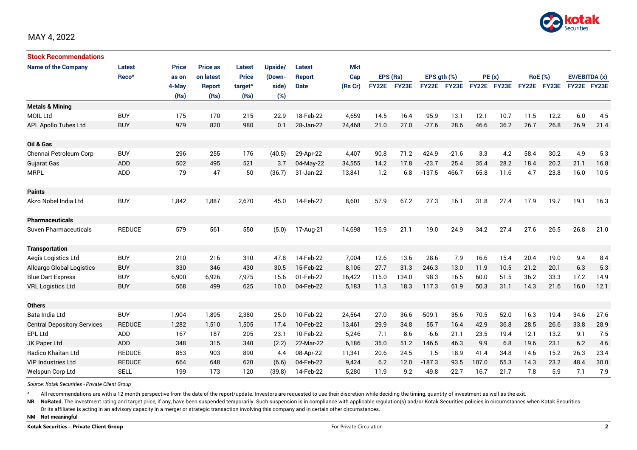

| <b>Stock Recommendations</b>       |                   |              |                 |                     |         |               |         |              |          |              |             |             |       |             |                |             |               |
|------------------------------------|-------------------|--------------|-----------------|---------------------|---------|---------------|---------|--------------|----------|--------------|-------------|-------------|-------|-------------|----------------|-------------|---------------|
| <b>Name of the Company</b>         | Latest            | <b>Price</b> | <b>Price as</b> | Latest              | Upside/ | Latest        | Mkt     |              |          |              |             |             |       |             |                |             |               |
|                                    | Reco <sup>^</sup> | as on        | on latest       | <b>Price</b>        | (Down-  | <b>Report</b> | Cap     |              | EPS (Rs) |              | EPS ath (%) |             | PE(x) |             | <b>RoE</b> (%) |             | EV/EBITDA (x) |
|                                    |                   | 4-May        | <b>Report</b>   | target <sup>^</sup> | side)   | <b>Date</b>   | (Rs Cr) | <b>FY22E</b> | FY23E    | <b>FY22E</b> | FY23E       | FY22E FY23E |       | FY22E FY23E |                | FY22E FY23E |               |
|                                    |                   | (Rs)         | (Rs)            | (Rs)                | (%)     |               |         |              |          |              |             |             |       |             |                |             |               |
| <b>Metals &amp; Mining</b>         |                   |              |                 |                     |         |               |         |              |          |              |             |             |       |             |                |             |               |
| <b>MOIL Ltd</b>                    | <b>BUY</b>        | 175          | 170             | 215                 | 22.9    | 18-Feb-22     | 4,659   | 14.5         | 16.4     | 95.9         | 13.1        | 12.1        | 10.7  | 11.5        | 12.2           | 6.0         | 4.5           |
| APL Apollo Tubes Ltd               | <b>BUY</b>        | 979          | 820             | 980                 | 0.1     | 28-Jan-22     | 24,468  | 21.0         | 27.0     | $-27.6$      | 28.6        | 46.6        | 36.2  | 26.7        | 26.8           | 26.9        | 21.4          |
| Oil & Gas                          |                   |              |                 |                     |         |               |         |              |          |              |             |             |       |             |                |             |               |
| Chennai Petroleum Corp             | <b>BUY</b>        | 296          | 255             | 176                 | (40.5)  | 29-Apr-22     | 4,407   | 90.8         | 71.2     | 424.9        | $-21.6$     | 3.3         | 4.2   | 58.4        | 30.2           | 4.9         | 5.3           |
| <b>Gujarat Gas</b>                 | ADD               | 502          | 495             | 521                 | 3.7     | 04-May-22     | 34,555  | 14.2         | 17.8     | $-23.7$      | 25.4        | 35.4        | 28.2  | 18.4        | 20.2           | 21.1        | 16.8          |
| <b>MRPL</b>                        | ADD               | 79           | 47              | 50                  | (36.7)  | 31-Jan-22     | 13,841  | 1.2          | 6.8      | $-137.5$     | 466.7       | 65.8        | 11.6  | 4.7         | 23.8           | 16.0        | 10.5          |
| <b>Paints</b>                      |                   |              |                 |                     |         |               |         |              |          |              |             |             |       |             |                |             |               |
| Akzo Nobel India Ltd               | <b>BUY</b>        | 1,842        | 1,887           | 2,670               | 45.0    | 14-Feb-22     | 8,601   | 57.9         | 67.2     | 27.3         | 16.1        | 31.8        | 27.4  | 17.9        | 19.7           | 19.1        | 16.3          |
| <b>Pharmaceuticals</b>             |                   |              |                 |                     |         |               |         |              |          |              |             |             |       |             |                |             |               |
| <b>Suven Pharmaceuticals</b>       | <b>REDUCE</b>     | 579          | 561             | 550                 | (5.0)   | 17-Aug-21     | 14,698  | 16.9         | 21.1     | 19.0         | 24.9        | 34.2        | 27.4  | 27.6        | 26.5           | 26.8        | 21.0          |
| <b>Transportation</b>              |                   |              |                 |                     |         |               |         |              |          |              |             |             |       |             |                |             |               |
| Aegis Logistics Ltd                | <b>BUY</b>        | 210          | 216             | 310                 | 47.8    | 14-Feb-22     | 7,004   | 12.6         | 13.6     | 28.6         | 7.9         | 16.6        | 15.4  | 20.4        | 19.0           | 9.4         | 8.4           |
| <b>Allcargo Global Logistics</b>   | <b>BUY</b>        | 330          | 346             | 430                 | 30.5    | 15-Feb-22     | 8.106   | 27.7         | 31.3     | 246.3        | 13.0        | 11.9        | 10.5  | 21.2        | 20.1           | 6.3         | 5.3           |
| <b>Blue Dart Express</b>           | <b>BUY</b>        | 6,900        | 6,926           | 7,975               | 15.6    | 01-Feb-22     | 16,422  | 115.0        | 134.0    | 98.3         | 16.5        | 60.0        | 51.5  | 36.2        | 33.3           | 17.2        | 14.9          |
| <b>VRL Logistics Ltd</b>           | <b>BUY</b>        | 568          | 499             | 625                 | 10.0    | 04-Feb-22     | 5,183   | 11.3         | 18.3     | 117.3        | 61.9        | 50.3        | 31.1  | 14.3        | 21.6           | 16.0        | 12.1          |
| <b>Others</b>                      |                   |              |                 |                     |         |               |         |              |          |              |             |             |       |             |                |             |               |
| Bata India Ltd                     | <b>BUY</b>        | 1,904        | 1,895           | 2,380               | 25.0    | 10-Feb-22     | 24,564  | 27.0         | 36.6     | $-509.1$     | 35.6        | 70.5        | 52.0  | 16.3        | 19.4           | 34.6        | 27.6          |
| <b>Central Depository Services</b> | <b>REDUCE</b>     | 1.282        | 1.510           | 1,505               | 17.4    | 10-Feb-22     | 13.461  | 29.9         | 34.8     | 55.7         | 16.4        | 42.9        | 36.8  | 28.5        | 26.6           | 33.8        | 28.9          |
| EPL Ltd                            | ADD               | 167          | 187             | 205                 | 23.1    | 10-Feb-22     | 5,246   | 7.1          | 8.6      | $-6.6$       | 21.1        | 23.5        | 19.4  | 12.1        | 13.2           | 9.1         | 7.5           |
| JK Paper Ltd                       | ADD               | 348          | 315             | 340                 | (2.2)   | 22-Mar-22     | 6,186   | 35.0         | 51.2     | 146.5        | 46.3        | 9.9         | 6.8   | 19.6        | 23.1           | 6.2         | 4.6           |
| Radico Khaitan Ltd                 | <b>REDUCE</b>     | 853          | 903             | 890                 | 4.4     | 08-Apr-22     | 11,341  | 20.6         | 24.5     | 1.5          | 18.9        | 41.4        | 34.8  | 14.6        | 15.2           | 26.3        | 23.4          |
| <b>VIP Industries Ltd</b>          | <b>REDUCE</b>     | 664          | 648             | 620                 | (6.6)   | 04-Feb-22     | 9,424   | 6.2          | 12.0     | $-187.3$     | 93.5        | 107.0       | 55.3  | 14.3        | 23.2           | 48.4        | 30.0          |
| Welspun Corp Ltd                   | <b>SELL</b>       | 199          | 173             | 120                 | (39.8)  | 14-Feb-22     | 5,280   | 11.9         | 9.2      | $-49.8$      | $-22.7$     | 16.7        | 21.7  | 7.8         | 5.9            | 7.1         | 7.9           |

*Source: Kotak Securities - Private Client Group*

All recommendations are with a 12 month perspective from the date of the report/update. Investors are requested to use their discretion while deciding the timing, quantity of investment as well as the exit.

NR NoRated. The investment rating and target price, if any, have been suspended temporarily. Such suspension is in compliance with applicable regulation(s) and/or Kotak Securities policies in circumstances when Kotak Secur

Or its affiliates is acting in an advisory capacity in a merger or strategic transaction involving this company and in certain other circumstances.

**NM Not meaningful**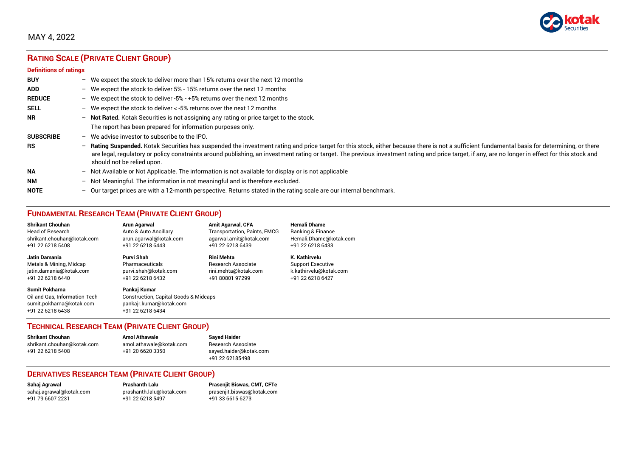

## MAY 4, 2022

# **RATING SCALE (PRIVATE CLIENT GROUP)**

#### **Definitions of ratings**

| <b>BUY</b>       | $\overline{\phantom{0}}$ | We expect the stock to deliver more than 15% returns over the next 12 months                                                                                                                                                                                                                                                                                                                                                     |
|------------------|--------------------------|----------------------------------------------------------------------------------------------------------------------------------------------------------------------------------------------------------------------------------------------------------------------------------------------------------------------------------------------------------------------------------------------------------------------------------|
| <b>ADD</b>       |                          | - We expect the stock to deliver $5\%$ - 15% returns over the next 12 months                                                                                                                                                                                                                                                                                                                                                     |
| <b>REDUCE</b>    | $-$                      | We expect the stock to deliver -5% - +5% returns over the next 12 months                                                                                                                                                                                                                                                                                                                                                         |
| <b>SELL</b>      |                          | - We expect the stock to deliver $\lt$ -5% returns over the next 12 months                                                                                                                                                                                                                                                                                                                                                       |
| <b>NR</b>        | $-$                      | Not Rated. Kotak Securities is not assigning any rating or price target to the stock.                                                                                                                                                                                                                                                                                                                                            |
|                  |                          | The report has been prepared for information purposes only.                                                                                                                                                                                                                                                                                                                                                                      |
| <b>SUBSCRIBE</b> | $\overline{\phantom{0}}$ | We advise investor to subscribe to the IPO.                                                                                                                                                                                                                                                                                                                                                                                      |
| <b>RS</b>        | $-$                      | Rating Suspended. Kotak Securities has suspended the investment rating and price target for this stock, either because there is not a sufficient fundamental basis for determining, or there<br>are legal, regulatory or policy constraints around publishing, an investment rating or target. The previous investment rating and price target, if any, are no longer in effect for this stock and<br>should not be relied upon. |
| <b>NA</b>        |                          | $-$ Not Available or Not Applicable. The information is not available for display or is not applicable                                                                                                                                                                                                                                                                                                                           |
| <b>NM</b>        | $-$                      | Not Meaningful. The information is not meaningful and is therefore excluded.                                                                                                                                                                                                                                                                                                                                                     |
| <b>NOTE</b>      | $-$                      | Our target prices are with a 12-month perspective. Returns stated in the rating scale are our internal benchmark.                                                                                                                                                                                                                                                                                                                |

# **FUNDAMENTAL RESEARCH TEAM (PRIVATE CLIENT GROUP)**

| <b>Shrikant Chouhan</b>                                                                                | <b>Arun Agarwal</b>                                                                                             | <b>Amit Agarwal, CFA</b>            | <b>Hemali Dhame</b>      |
|--------------------------------------------------------------------------------------------------------|-----------------------------------------------------------------------------------------------------------------|-------------------------------------|--------------------------|
| <b>Head of Research</b>                                                                                | Auto & Auto Ancillary                                                                                           | <b>Transportation, Paints, FMCG</b> | Banking & Finance        |
| shrikant.chouhan@kotak.com                                                                             | arun.agarwal@kotak.com                                                                                          | agarwal.amit@kotak.com              | Hemali.Dhame@kotak.com   |
| +91 22 6218 5408                                                                                       | +91 22 6218 6443                                                                                                | +91 22 6218 6439                    | +91 22 6218 6433         |
| <b>Jatin Damania</b>                                                                                   | Purvi Shah                                                                                                      | <b>Rini Mehta</b>                   | K. Kathirvelu            |
| Metals & Mining, Midcap                                                                                | Pharmaceuticals                                                                                                 | <b>Research Associate</b>           | <b>Support Executive</b> |
| jatin.damania@kotak.com                                                                                | purvi.shah@kotak.com                                                                                            | rini.mehta@kotak.com                | k.kathirvelu@kotak.com   |
| +91 22 6218 6440                                                                                       | +91 22 6218 6432                                                                                                | +91 80801 97299                     | +91 22 6218 6427         |
| <b>Sumit Pokharna</b><br>Oil and Gas, Information Tech<br>sumit.pokharna@kotak.com<br>+91 22 6218 6438 | Pankaj Kumar<br><b>Construction, Capital Goods &amp; Midcaps</b><br>pankajr.kumar@kotak.com<br>+91 22 6218 6434 |                                     |                          |

### **TECHNICAL RESEARCH TEAM (PRIVATE CLIENT GROUP)**

| <b>Shrikant Chouhan</b>    | <b>Amol Athawale</b>    |  |
|----------------------------|-------------------------|--|
| shrikant.chouhan@kotak.com | amol.athawale@kotak.com |  |
| +91 22 6218 5408           | +91 20 6620 3350        |  |
|                            |                         |  |

**Sayed Haider** Research Associate [sayed.haider@kotak.com](mailto:sayed.haider@kotak.com) +91 22 62185498

### **DERIVATIVES RESEARCH TEAM (PRIVATE CLIENT GROUP)**

+91 22 6218 5497 +91 33 6615 6273

**Sahaj Agrawal Prashanth Lalu Prasenjit Biswas, CMT, CFTe** [sahaj.agrawal@kotak.com](mailto:sahaj.agrawal@kotak.com) [prashanth.lalu@kotak.com](mailto:prashanth.lalu@kotak.com) [prasenjit.biswas@kotak.com](mailto:prasenjit.biswas@kotak.com)